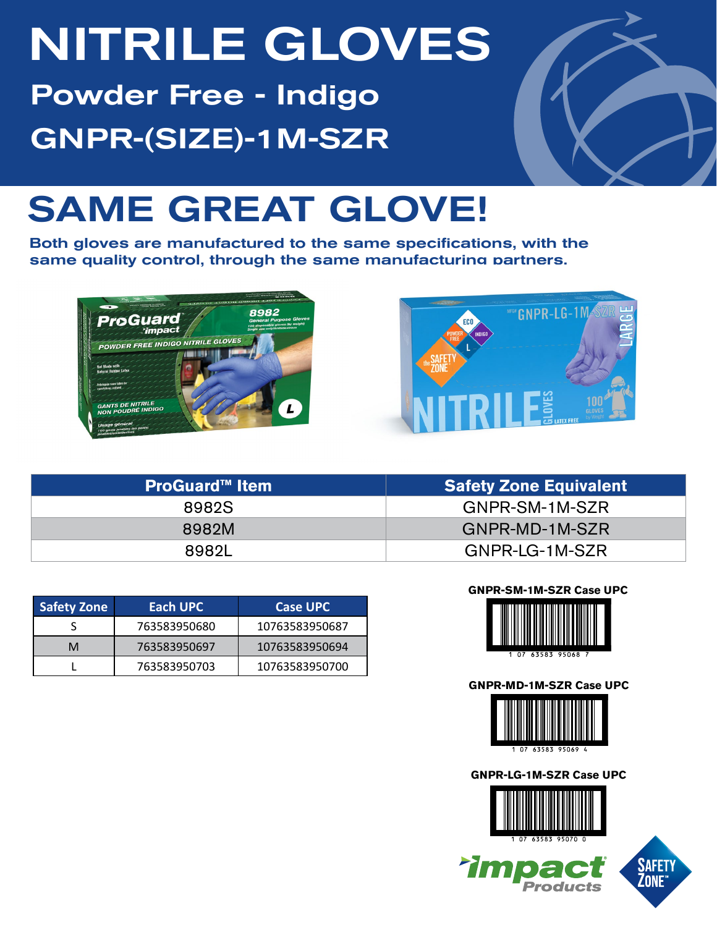# NITRILE GLOVES

Powder Free - Indigo GNPR-(SIZE)-1M-SZR



## SAME GREAT GLOVE!

Both gloves are manufactured to the same specifications, with the same quality control, through the same manufacturing partners.





| <b>ProGuard™ Item</b> | <b>Safety Zone Equivalent</b> |  |  |  |  |
|-----------------------|-------------------------------|--|--|--|--|
| 8982S                 | GNPR-SM-1M-SZR                |  |  |  |  |
| 8982M                 | GNPR-MD-1M-SZR                |  |  |  |  |
| 89821                 | GNPR-LG-1M-SZR                |  |  |  |  |

| <b>Safety Zone</b> | Each UPC     | <b>Case UPC</b> |
|--------------------|--------------|-----------------|
|                    | 763583950680 | 10763583950687  |
| M                  | 763583950697 | 10763583950694  |
|                    | 763583950703 | 10763583950700  |

**GNPR-SM-1M-SZR Case UPC**



#### **GNPR-MD-1M-SZR Case UPC**



**GNPR-LG-1M-SZR Case UPC**